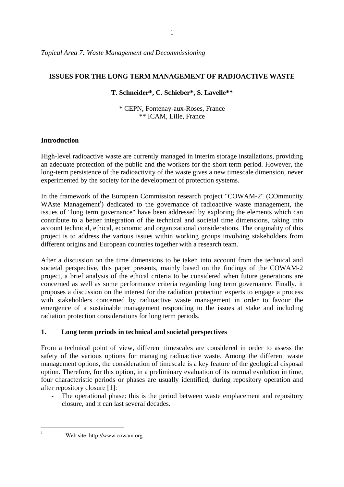*Topical Area 7: Waste Management and Decommissioning* 

### **ISSUES FOR THE LONG TERM MANAGEMENT OF RADIOACTIVE WASTE**

## **T. Schneider\*, C. Schieber\*, S. Lavelle\*\***

\* CEPN, Fontenay-aux-Roses, France \*\* ICAM, Lille, France

# **Introduction**

High-level radioactive waste are currently managed in interim storage installations, providing an adequate protection of the public and the workers for the short term period. However, the long-term persistence of the radioactivity of the waste gives a new timescale dimension, never experimented by the society for the development of protection systems.

In the framework of the European Commission research project "COWAM-2" (COmmunity WAste Management<sup>1</sup>) dedicated to the governance of radioactive waste management, the issues of "long term governance" have been addressed by exploring the elements which can contribute to a better integration of the technical and societal time dimensions, taking into account technical, ethical, economic and organizational considerations. The originality of this project is to address the various issues within working groups involving stakeholders from different origins and European countries together with a research team.

After a discussion on the time dimensions to be taken into account from the technical and societal perspective, this paper presents, mainly based on the findings of the COWAM-2 project, a brief analysis of the ethical criteria to be considered when future generations are concerned as well as some performance criteria regarding long term governance. Finally, it proposes a discussion on the interest for the radiation protection experts to engage a process with stakeholders concerned by radioactive waste management in order to favour the emergence of a sustainable management responding to the issues at stake and including radiation protection considerations for long term periods.

# **1. Long term periods in technical and societal perspectives**

From a technical point of view, different timescales are considered in order to assess the safety of the various options for managing radioactive waste. Among the different waste management options, the consideration of timescale is a key feature of the geological disposal option. Therefore, for this option, in a preliminary evaluation of its normal evolution in time, four characteristic periods or phases are usually identified, during repository operation and after repository closure [1]:

The operational phase: this is the period between waste emplacement and repository closure, and it can last several decades.

Web site: http://www.cowam.org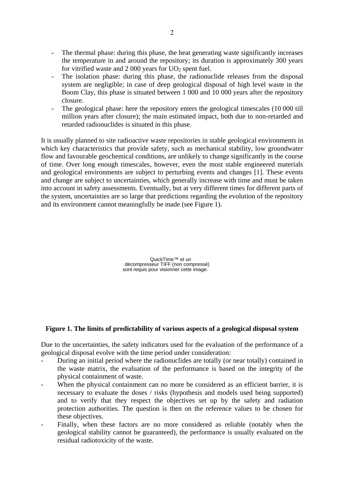- The thermal phase: during this phase, the heat generating waste significantly increases the temperature in and around the repository; its duration is approximately 300 years for vitrified waste and  $2000$  years for  $UO<sub>2</sub>$  spent fuel.
- The isolation phase: during this phase, the radionuclide releases from the disposal system are negligible; in case of deep geological disposal of high level waste in the Boom Clay, this phase is situated between 1 000 and 10 000 years after the repository closure.
- The geological phase: here the repository enters the geological timescales (10 000 till million years after closure); the main estimated impact, both due to non-retarded and retarded radionuclides is situated in this phase.

It is usually planned to site radioactive waste repositories in stable geological environments in which key characteristics that provide safety, such as mechanical stability, low groundwater flow and favourable geochemical conditions, are unlikely to change significantly in the course of time. Over long enough timescales, however, even the most stable engineered materials and geological environments are subject to perturbing events and changes [1]. These events and change are subject to uncertainties, which generally increase with time and must be taken into account in safety assessments. Eventually, but at very different times for different parts of the system, uncertainties are so large that predictions regarding the evolution of the repository and its environment cannot meaningfully be made (see Figure 1).

> QuickTime™ et un décompresseur TIFF (non compressé) sont requis pour visionner cette image.

### **Figure 1. The limits of predictability of various aspects of a geological disposal system**

Due to the uncertainties, the safety indicators used for the evaluation of the performance of a geological disposal evolve with the time period under consideration:

- During an initial period where the radionuclides are totally (or near totally) contained in the waste matrix, the evaluation of the performance is based on the integrity of the physical containment of waste.
- When the physical containment can no more be considered as an efficient barrier, it is necessary to evaluate the doses / risks (hypothesis and models used being supported) and to verify that they respect the objectives set up by the safety and radiation protection authorities. The question is then on the reference values to be chosen for these objectives.
- Finally, when these factors are no more considered as reliable (notably when the geological stability cannot be guaranteed), the performance is usually evaluated on the residual radiotoxicity of the waste.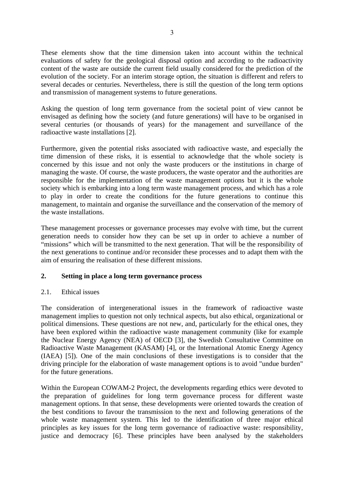These elements show that the time dimension taken into account within the technical evaluations of safety for the geological disposal option and according to the radioactivity content of the waste are outside the current field usually considered for the prediction of the evolution of the society. For an interim storage option, the situation is different and refers to several decades or centuries. Nevertheless, there is still the question of the long term options and transmission of management systems to future generations.

Asking the question of long term governance from the societal point of view cannot be envisaged as defining how the society (and future generations) will have to be organised in several centuries (or thousands of years) for the management and surveillance of the radioactive waste installations [2].

Furthermore, given the potential risks associated with radioactive waste, and especially the time dimension of these risks, it is essential to acknowledge that the whole society is concerned by this issue and not only the waste producers or the institutions in charge of managing the waste. Of course, the waste producers, the waste operator and the authorities are responsible for the implementation of the waste management options but it is the whole society which is embarking into a long term waste management process, and which has a role to play in order to create the conditions for the future generations to continue this management, to maintain and organise the surveillance and the conservation of the memory of the waste installations.

These management processes or governance processes may evolve with time, but the current generation needs to consider how they can be set up in order to achieve a number of "missions" which will be transmitted to the next generation. That will be the responsibility of the next generations to continue and/or reconsider these processes and to adapt them with the aim of ensuring the realisation of these different missions.

# **2. Setting in place a long term governance process**

### 2.1. Ethical issues

The consideration of intergenerational issues in the framework of radioactive waste management implies to question not only technical aspects, but also ethical, organizational or political dimensions. These questions are not new, and, particularly for the ethical ones, they have been explored within the radioactive waste management community (like for example the Nuclear Energy Agency (NEA) of OECD [3], the Swedish Consultative Committee on Radioactive Waste Management (KASAM) [4], or the International Atomic Energy Agency (IAEA) [5]). One of the main conclusions of these investigations is to consider that the driving principle for the elaboration of waste management options is to avoid "undue burden" for the future generations.

Within the European COWAM-2 Project, the developments regarding ethics were devoted to the preparation of guidelines for long term governance process for different waste management options. In that sense, these developments were oriented towards the creation of the best conditions to favour the transmission to the next and following generations of the whole waste management system. This led to the identification of three major ethical principles as key issues for the long term governance of radioactive waste: responsibility, justice and democracy [6]. These principles have been analysed by the stakeholders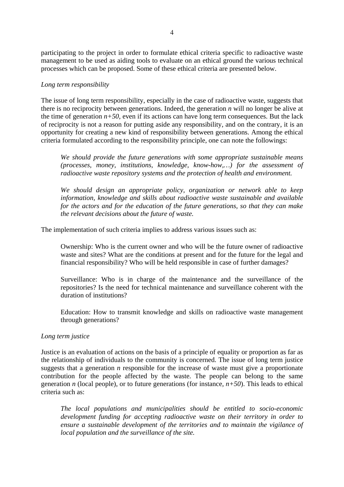participating to the project in order to formulate ethical criteria specific to radioactive waste management to be used as aiding tools to evaluate on an ethical ground the various technical processes which can be proposed. Some of these ethical criteria are presented below.

### *Long term responsibility*

The issue of long term responsibility, especially in the case of radioactive waste, suggests that there is no reciprocity between generations. Indeed, the generation *n* will no longer be alive at the time of generation  $n+50$ , even if its actions can have long term consequences. But the lack of reciprocity is not a reason for putting aside any responsibility, and on the contrary, it is an opportunity for creating a new kind of responsibility between generations. Among the ethical criteria formulated according to the responsibility principle, one can note the followings:

*We should provide the future generations with some appropriate sustainable means (processes, money, institutions, knowledge, know-how,…) for the assessment of radioactive waste repository systems and the protection of health and environment.* 

*We should design an appropriate policy, organization or network able to keep information, knowledge and skills about radioactive waste sustainable and available for the actors and for the education of the future generations, so that they can make the relevant decisions about the future of waste.* 

The implementation of such criteria implies to address various issues such as:

Ownership: Who is the current owner and who will be the future owner of radioactive waste and sites? What are the conditions at present and for the future for the legal and financial responsibility? Who will be held responsible in case of further damages?

Surveillance: Who is in charge of the maintenance and the surveillance of the repositories? Is the need for technical maintenance and surveillance coherent with the duration of institutions?

Education: How to transmit knowledge and skills on radioactive waste management through generations?

#### *Long term justice*

Justice is an evaluation of actions on the basis of a principle of equality or proportion as far as the relationship of individuals to the community is concerned. The issue of long term justice suggests that a generation *n* responsible for the increase of waste must give a proportionate contribution for the people affected by the waste. The people can belong to the same generation *n* (local people), or to future generations (for instance,  $n+50$ ). This leads to ethical criteria such as:

*The local populations and municipalities should be entitled to socio-economic development funding for accepting radioactive waste on their territory in order to ensure a sustainable development of the territories and to maintain the vigilance of local population and the surveillance of the site.*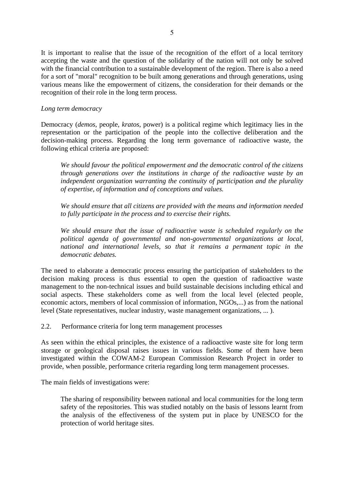It is important to realise that the issue of the recognition of the effort of a local territory accepting the waste and the question of the solidarity of the nation will not only be solved with the financial contribution to a sustainable development of the region. There is also a need for a sort of "moral" recognition to be built among generations and through generations, using various means like the empowerment of citizens, the consideration for their demands or the recognition of their role in the long term process.

## *Long term democracy*

Democracy (*demos*, people, *kratos*, power) is a political regime which legitimacy lies in the representation or the participation of the people into the collective deliberation and the decision-making process. Regarding the long term governance of radioactive waste, the following ethical criteria are proposed:

*We should favour the political empowerment and the democratic control of the citizens through generations over the institutions in charge of the radioactive waste by an independent organization warranting the continuity of participation and the plurality of expertise, of information and of conceptions and values.*

*We should ensure that all citizens are provided with the means and information needed to fully participate in the process and to exercise their rights.*

*We should ensure that the issue of radioactive waste is scheduled regularly on the political agenda of governmental and non-governmental organizations at local, national and international levels, so that it remains a permanent topic in the democratic debates.* 

The need to elaborate a democratic process ensuring the participation of stakeholders to the decision making process is thus essential to open the question of radioactive waste management to the non-technical issues and build sustainable decisions including ethical and social aspects. These stakeholders come as well from the local level (elected people, economic actors, members of local commission of information, NGOs,...) as from the national level (State representatives, nuclear industry, waste management organizations, ... ).

2.2. Performance criteria for long term management processes

As seen within the ethical principles, the existence of a radioactive waste site for long term storage or geological disposal raises issues in various fields. Some of them have been investigated within the COWAM-2 European Commission Research Project in order to provide, when possible, performance criteria regarding long term management processes.

The main fields of investigations were:

The sharing of responsibility between national and local communities for the long term safety of the repositories. This was studied notably on the basis of lessons learnt from the analysis of the effectiveness of the system put in place by UNESCO for the protection of world heritage sites.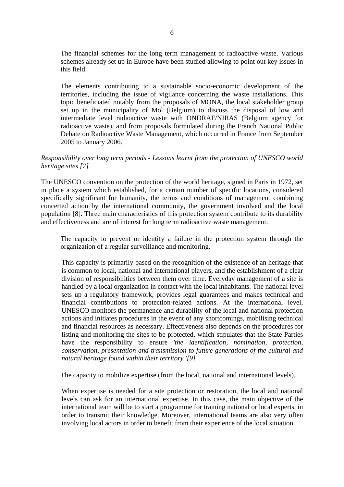The financial schemes for the long term management of radioactive waste. Various schemes already set up in Europe have been studied allowing to point out key issues in this field.

The elements contributing to a sustainable socio-economic development of the territories, including the issue of vigilance concerning the waste installations. This topic beneficiated notably from the proposals of MONA, the local stakeholder group set up in the municipality of Mol (Belgium) to discuss the disposal of low and intermediate level radioactive waste with ONDRAF/NIRAS (Belgium agency for radioactive waste), and from proposals formulated during the French National Public Debate on Radioactive Waste Management, which occurred in France from September 2005 to January 2006.

## *Responsibility over long term periods - Lessons learnt from the protection of UNESCO world heritage sites [7]*

The UNESCO convention on the protection of the world heritage, signed in Paris in 1972, set in place a system which established, for a certain number of specific locations, considered specifically significant for humanity, the terms and conditions of management combining concerted action by the international community, the government involved and the local population [8]. Three main characteristics of this protection system contribute to its durability and effectiveness and are of interest for long term radioactive waste management:

The capacity to prevent or identify a failure in the protection system through the organization of a regular surveillance and monitoring.

This capacity is primarily based on the recognition of the existence of an heritage that is common to local, national and international players, and the establishment of a clear division of responsibilities between them over time. Everyday management of a site is handled by a local organization in contact with the local inhabitants. The national level sets up a regulatory framework, provides legal guarantees and makes technical and financial contributions to protection-related actions. At the international level, UNESCO monitors the permanence and durability of the local and national protection actions and initiates procedures in the event of any shortcomings, mobilising technical and financial resources as necessary. Effectiveness also depends on the procedures for listing and monitoring the sites to be protected, which stipulates that the State Parties have the responsibility to ensure *'the identification, nomination, protection, conservation, presentation and transmission to future generations of the cultural and natural heritage found within their territory '[9]*

The capacity to mobilize expertise (from the local, national and international levels).

When expertise is needed for a site protection or restoration, the local and national levels can ask for an international expertise. In this case, the main objective of the international team will be to start a programme for training national or local experts, in order to transmit their knowledge. Moreover, international teams are also very often involving local actors in order to benefit from their experience of the local situation.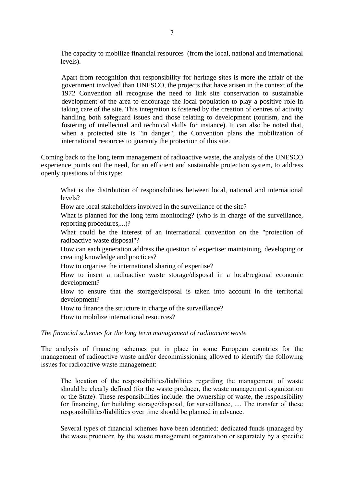The capacity to mobilize financial resources (from the local, national and international levels).

Apart from recognition that responsibility for heritage sites is more the affair of the government involved than UNESCO, the projects that have arisen in the context of the 1972 Convention all recognise the need to link site conservation to sustainable development of the area to encourage the local population to play a positive role in taking care of the site. This integration is fostered by the creation of centres of activity handling both safeguard issues and those relating to development (tourism, and the fostering of intellectual and technical skills for instance). It can also be noted that, when a protected site is "in danger", the Convention plans the mobilization of international resources to guaranty the protection of this site.

Coming back to the long term management of radioactive waste, the analysis of the UNESCO experience points out the need, for an efficient and sustainable protection system, to address openly questions of this type:

What is the distribution of responsibilities between local, national and international levels?

How are local stakeholders involved in the surveillance of the site?

What is planned for the long term monitoring? (who is in charge of the surveillance, reporting procedures,...)?

What could be the interest of an international convention on the "protection of radioactive waste disposal"?

How can each generation address the question of expertise: maintaining, developing or creating knowledge and practices?

How to organise the international sharing of expertise?

How to insert a radioactive waste storage/disposal in a local/regional economic development?

How to ensure that the storage/disposal is taken into account in the territorial development?

How to finance the structure in charge of the surveillance?

How to mobilize international resources?

#### *The financial schemes for the long term management of radioactive waste*

The analysis of financing schemes put in place in some European countries for the management of radioactive waste and/or decommissioning allowed to identify the following issues for radioactive waste management:

The location of the responsibilities/liabilities regarding the management of waste should be clearly defined (for the waste producer, the waste management organization or the State). These responsibilities include: the ownership of waste, the responsibility for financing, for building storage/disposal, for surveillance, .... The transfer of these responsibilities/liabilities over time should be planned in advance.

Several types of financial schemes have been identified: dedicated funds (managed by the waste producer, by the waste management organization or separately by a specific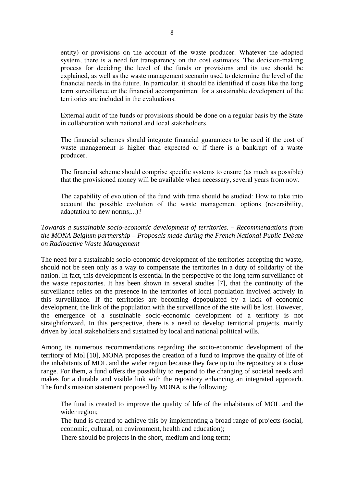entity) or provisions on the account of the waste producer. Whatever the adopted system, there is a need for transparency on the cost estimates. The decision-making process for deciding the level of the funds or provisions and its use should be explained, as well as the waste management scenario used to determine the level of the financial needs in the future. In particular, it should be identified if costs like the long term surveillance or the financial accompaniment for a sustainable development of the territories are included in the evaluations.

External audit of the funds or provisions should be done on a regular basis by the State in collaboration with national and local stakeholders.

The financial schemes should integrate financial guarantees to be used if the cost of waste management is higher than expected or if there is a bankrupt of a waste producer.

The financial scheme should comprise specific systems to ensure (as much as possible) that the provisioned money will be available when necessary, several years from now.

The capability of evolution of the fund with time should be studied: How to take into account the possible evolution of the waste management options (reversibility, adaptation to new norms,...)?

## *Towards a sustainable socio-economic development of territories. – Recommendations from the MONA Belgium partnership – Proposals made during the French National Public Debate on Radioactive Waste Management*

The need for a sustainable socio-economic development of the territories accepting the waste, should not be seen only as a way to compensate the territories in a duty of solidarity of the nation. In fact, this development is essential in the perspective of the long term surveillance of the waste repositories. It has been shown in several studies [7], that the continuity of the surveillance relies on the presence in the territories of local population involved actively in this surveillance. If the territories are becoming depopulated by a lack of economic development, the link of the population with the surveillance of the site will be lost. However, the emergence of a sustainable socio-economic development of a territory is not straightforward. In this perspective, there is a need to develop territorial projects, mainly driven by local stakeholders and sustained by local and national political wills.

Among its numerous recommendations regarding the socio-economic development of the territory of Mol [10], MONA proposes the creation of a fund to improve the quality of life of the inhabitants of MOL and the wider region because they face up to the repository at a close range. For them, a fund offers the possibility to respond to the changing of societal needs and makes for a durable and visible link with the repository enhancing an integrated approach. The fund's mission statement proposed by MONA is the following:

The fund is created to improve the quality of life of the inhabitants of MOL and the wider region;

The fund is created to achieve this by implementing a broad range of projects (social, economic, cultural, on environment, health and education);

There should be projects in the short, medium and long term;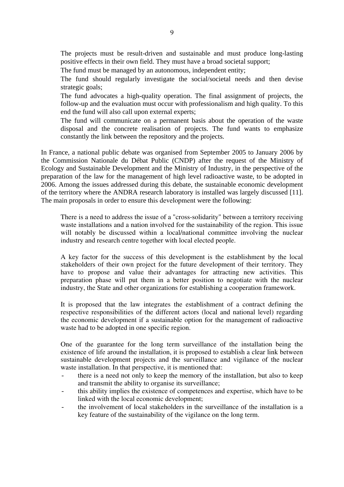The projects must be result-driven and sustainable and must produce long-lasting positive effects in their own field. They must have a broad societal support;

The fund must be managed by an autonomous, independent entity;

The fund should regularly investigate the social/societal needs and then devise strategic goals;

The fund advocates a high-quality operation. The final assignment of projects, the follow-up and the evaluation must occur with professionalism and high quality. To this end the fund will also call upon external experts;

The fund will communicate on a permanent basis about the operation of the waste disposal and the concrete realisation of projects. The fund wants to emphasize constantly the link between the repository and the projects.

In France, a national public debate was organised from September 2005 to January 2006 by the Commission Nationale du Débat Public (CNDP) after the request of the Ministry of Ecology and Sustainable Development and the Ministry of Industry, in the perspective of the preparation of the law for the management of high level radioactive waste, to be adopted in 2006. Among the issues addressed during this debate, the sustainable economic development of the territory where the ANDRA research laboratory is installed was largely discussed [11]. The main proposals in order to ensure this development were the following:

There is a need to address the issue of a "cross-solidarity" between a territory receiving waste installations and a nation involved for the sustainability of the region. This issue will notably be discussed within a local/national committee involving the nuclear industry and research centre together with local elected people.

A key factor for the success of this development is the establishment by the local stakeholders of their own project for the future development of their territory. They have to propose and value their advantages for attracting new activities. This preparation phase will put them in a better position to negotiate with the nuclear industry, the State and other organizations for establishing a cooperation framework.

It is proposed that the law integrates the establishment of a contract defining the respective responsibilities of the different actors (local and national level) regarding the economic development if a sustainable option for the management of radioactive waste had to be adopted in one specific region.

One of the guarantee for the long term surveillance of the installation being the existence of life around the installation, it is proposed to establish a clear link between sustainable development projects and the surveillance and vigilance of the nuclear waste installation. In that perspective, it is mentioned that:

- there is a need not only to keep the memory of the installation, but also to keep and transmit the ability to organise its surveillance;
- this ability implies the existence of competences and expertise, which have to be linked with the local economic development;
- the involvement of local stakeholders in the surveillance of the installation is a key feature of the sustainability of the vigilance on the long term.